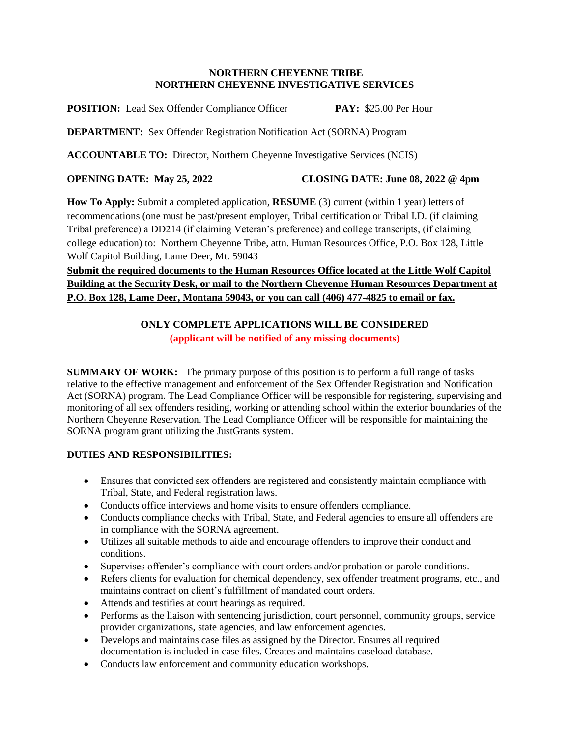#### **NORTHERN CHEYENNE TRIBE NORTHERN CHEYENNE INVESTIGATIVE SERVICES**

**POSITION:** Lead Sex Offender Compliance Officer **PAY:** \$25.00 Per Hour

**DEPARTMENT:** Sex Offender Registration Notification Act (SORNA) Program

**ACCOUNTABLE TO:** Director, Northern Cheyenne Investigative Services (NCIS)

### **OPENING DATE: May 25, 2022 CLOSING DATE: June 08, 2022 @ 4pm**

**How To Apply:** Submit a completed application, **RESUME** (3) current (within 1 year) letters of recommendations (one must be past/present employer, Tribal certification or Tribal I.D. (if claiming Tribal preference) a DD214 (if claiming Veteran's preference) and college transcripts, (if claiming college education) to: Northern Cheyenne Tribe, attn. Human Resources Office, P.O. Box 128, Little Wolf Capitol Building, Lame Deer, Mt. 59043

# **Submit the required documents to the Human Resources Office located at the Little Wolf Capitol Building at the Security Desk, or mail to the Northern Cheyenne Human Resources Department at P.O. Box 128, Lame Deer, Montana 59043, or you can call (406) 477-4825 to email or fax.**

# **ONLY COMPLETE APPLICATIONS WILL BE CONSIDERED (applicant will be notified of any missing documents)**

**SUMMARY OF WORK:** The primary purpose of this position is to perform a full range of tasks relative to the effective management and enforcement of the Sex Offender Registration and Notification Act (SORNA) program. The Lead Compliance Officer will be responsible for registering, supervising and monitoring of all sex offenders residing, working or attending school within the exterior boundaries of the Northern Cheyenne Reservation. The Lead Compliance Officer will be responsible for maintaining the SORNA program grant utilizing the JustGrants system.

# **DUTIES AND RESPONSIBILITIES:**

- Ensures that convicted sex offenders are registered and consistently maintain compliance with Tribal, State, and Federal registration laws.
- Conducts office interviews and home visits to ensure offenders compliance.
- Conducts compliance checks with Tribal, State, and Federal agencies to ensure all offenders are in compliance with the SORNA agreement.
- Utilizes all suitable methods to aide and encourage offenders to improve their conduct and conditions.
- Supervises offender's compliance with court orders and/or probation or parole conditions.
- Refers clients for evaluation for chemical dependency, sex offender treatment programs, etc., and maintains contract on client's fulfillment of mandated court orders.
- Attends and testifies at court hearings as required.
- Performs as the liaison with sentencing jurisdiction, court personnel, community groups, service provider organizations, state agencies, and law enforcement agencies.
- Develops and maintains case files as assigned by the Director. Ensures all required documentation is included in case files. Creates and maintains caseload database.
- Conducts law enforcement and community education workshops.